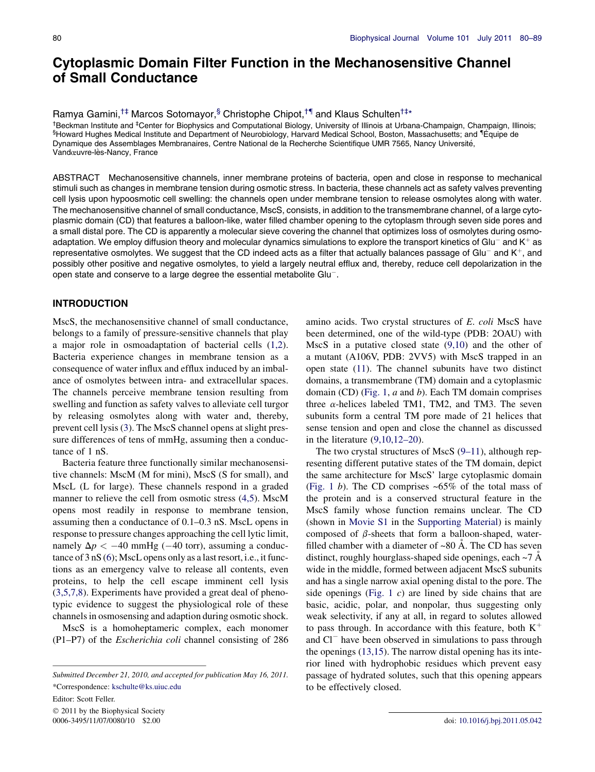# Cytoplasmic Domain Filter Function in the Mechanosensitive Channel of Small Conductance

Ramya Gamini,<sup>†‡</sup> Marcos Sotomayor,<sup>§</sup> Christophe Chipot,<sup>†¶</sup> and Klaus Schulten<sup>†‡\*</sup>

†Beckman Institute and <sup>‡</sup>Center for Biophysics and Computational Biology, University of Illinois at Urbana-Champaign, Champaign, Illinois;<br><sup>§</sup>Howard Hugbes Medical Institute and Department of Nourobiology, Han*ger* Medic Howard Hughes Medical Institute and Department of Neurobiology, Harvard Medical School, Boston, Massachusetts; and <sup>1</sup>Équipe de Dynamique des Assemblages Membranaires, Centre National de la Recherche Scientifique UMR 7565, Nancy Université, Vandœuvre-lès-Nancy, France

ABSTRACT Mechanosensitive channels, inner membrane proteins of bacteria, open and close in response to mechanical stimuli such as changes in membrane tension during osmotic stress. In bacteria, these channels act as safety valves preventing cell lysis upon hypoosmotic cell swelling: the channels open under membrane tension to release osmolytes along with water. The mechanosensitive channel of small conductance, MscS, consists, in addition to the transmembrane channel, of a large cytoplasmic domain (CD) that features a balloon-like, water filled chamber opening to the cytoplasm through seven side pores and a small distal pore. The CD is apparently a molecular sieve covering the channel that optimizes loss of osmolytes during osmoadaptation. We employ diffusion theory and molecular dynamics simulations to explore the transport kinetics of Glu $^-$  and K $^+$  as representative osmolytes. We suggest that the CD indeed acts as a filter that actually balances passage of Glu $^-$  and K $^+$ , and possibly other positive and negative osmolytes, to yield a largely neutral efflux and, thereby, reduce cell depolarization in the open state and conserve to a large degree the essential metabolite Glu<sup>-</sup>.

### INTRODUCTION

MscS, the mechanosensitive channel of small conductance, belongs to a family of pressure-sensitive channels that play a major role in osmoadaptation of bacterial cells [\(1,2\)](#page-8-0). Bacteria experience changes in membrane tension as a consequence of water influx and efflux induced by an imbalance of osmolytes between intra- and extracellular spaces. The channels perceive membrane tension resulting from swelling and function as safety valves to alleviate cell turgor by releasing osmolytes along with water and, thereby, prevent cell lysis [\(3](#page-8-0)). The MscS channel opens at slight pressure differences of tens of mmHg, assuming then a conductance of 1 nS.

Bacteria feature three functionally similar mechanosensitive channels: MscM (M for mini), MscS (S for small), and MscL (L for large). These channels respond in a graded manner to relieve the cell from osmotic stress [\(4,5\)](#page-8-0). MscM opens most readily in response to membrane tension, assuming then a conductance of 0.1–0.3 nS. MscL opens in response to pressure changes approaching the cell lytic limit, namely  $\Delta p < -40$  mmHg (-40 torr), assuming a conductance of 3 nS ([6\)](#page-9-0); MscL opens only as a last resort, i.e., it functions as an emergency valve to release all contents, even proteins, to help the cell escape imminent cell lysis ([3,5,7,8](#page-8-0)). Experiments have provided a great deal of phenotypic evidence to suggest the physiological role of these channels in osmosensing and adaption during osmotic shock.

MscS is a homoheptameric complex, each monomer (P1–P7) of the Escherichia coli channel consisting of 286

Editor: Scott Feller.

 2011 by the Biophysical Society 0006-3495/11/07/0080/10 \$2.00 doi: [10.1016/j.bpj.2011.05.042](http://dx.doi.org/10.1016/j.bpj.2011.05.042)

amino acids. Two crystal structures of E. coli MscS have been determined, one of the wild-type (PDB: 2OAU) with MscS in a putative closed state ([9,10](#page-9-0)) and the other of a mutant (A106V, PDB: 2VV5) with MscS trapped in an open state [\(11](#page-9-0)). The channel subunits have two distinct domains, a transmembrane (TM) domain and a cytoplasmic domain (CD) ([Fig. 1,](#page-1-0)  $a$  and  $b$ ). Each TM domain comprises three  $\alpha$ -helices labeled TM1, TM2, and TM3. The seven subunits form a central TM pore made of 21 helices that sense tension and open and close the channel as discussed in the literature [\(9,10,12–20](#page-9-0)).

The two crystal structures of MscS  $(9-11)$ , although representing different putative states of the TM domain, depict the same architecture for MscS' large cytoplasmic domain ([Fig. 1](#page-1-0) b). The CD comprises  $~65\%$  of the total mass of the protein and is a conserved structural feature in the MscS family whose function remains unclear. The CD (shown in [Movie S1](#page-8-0) in the [Supporting Material](#page-8-0)) is mainly composed of  $\beta$ -sheets that form a balloon-shaped, waterfilled chamber with a diameter of  $~80$  Å. The CD has seven distinct, roughly hourglass-shaped side openings, each  $\sim$  7 A wide in the middle, formed between adjacent MscS subunits and has a single narrow axial opening distal to the pore. The side openings ([Fig. 1](#page-1-0)  $c$ ) are lined by side chains that are basic, acidic, polar, and nonpolar, thus suggesting only weak selectivity, if any at all, in regard to solutes allowed to pass through. In accordance with this feature, both  $K^+$ and Cl<sup>-</sup> have been observed in simulations to pass through the openings ([13,15](#page-9-0)). The narrow distal opening has its interior lined with hydrophobic residues which prevent easy passage of hydrated solutes, such that this opening appears to be effectively closed.

Submitted December 21, 2010, and accepted for publication May 16, 2011. \*Correspondence: [kschulte@ks.uiuc.edu](mailto:kschulte@ks.uiuc.edu)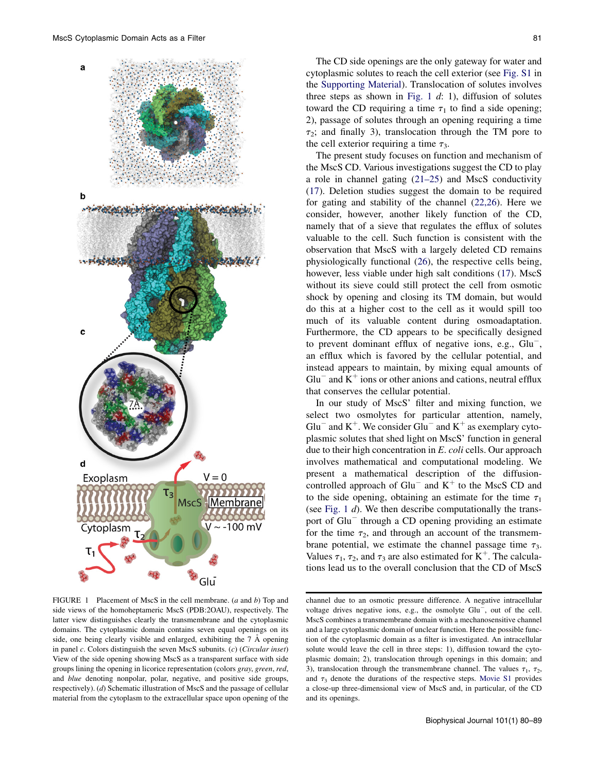<span id="page-1-0"></span>

FIGURE 1 Placement of MscS in the cell membrane. (*a* and *b*) Top and side views of the homoheptameric MscS (PDB:2OAU), respectively. The latter view distinguishes clearly the transmembrane and the cytoplasmic domains. The cytoplasmic domain contains seven equal openings on its side, one being clearly visible and enlarged, exhibiting the 7 A opening in panel c. Colors distinguish the seven MscS subunits. (c) (Circular inset) View of the side opening showing MscS as a transparent surface with side groups lining the opening in licorice representation (colors gray, green, red, and blue denoting nonpolar, polar, negative, and positive side groups, respectively). (d) Schematic illustration of MscS and the passage of cellular material from the cytoplasm to the extracellular space upon opening of the

The CD side openings are the only gateway for water and cytoplasmic solutes to reach the cell exterior (see [Fig. S1](#page-8-0) in the [Supporting Material](#page-8-0)). Translocation of solutes involves three steps as shown in Fig. 1  $d$ : 1), diffusion of solutes toward the CD requiring a time  $\tau_1$  to find a side opening; 2), passage of solutes through an opening requiring a time  $\tau_2$ ; and finally 3), translocation through the TM pore to the cell exterior requiring a time  $\tau_3$ .

The present study focuses on function and mechanism of the MscS CD. Various investigations suggest the CD to play a role in channel gating ([21–25\)](#page-9-0) and MscS conductivity ([17\)](#page-9-0). Deletion studies suggest the domain to be required for gating and stability of the channel [\(22,26\)](#page-9-0). Here we consider, however, another likely function of the CD, namely that of a sieve that regulates the efflux of solutes valuable to the cell. Such function is consistent with the observation that MscS with a largely deleted CD remains physiologically functional [\(26](#page-9-0)), the respective cells being, however, less viable under high salt conditions ([17\)](#page-9-0). MscS without its sieve could still protect the cell from osmotic shock by opening and closing its TM domain, but would do this at a higher cost to the cell as it would spill too much of its valuable content during osmoadaptation. Furthermore, the CD appears to be specifically designed to prevent dominant efflux of negative ions, e.g., Glu<sup>-</sup>, an efflux which is favored by the cellular potential, and instead appears to maintain, by mixing equal amounts of  $Gu^-$  and  $K^+$  ions or other anions and cations, neutral efflux that conserves the cellular potential.

In our study of MscS' filter and mixing function, we select two osmolytes for particular attention, namely, Glu<sup>-</sup> and K<sup>+</sup>. We consider Glu<sup>-</sup> and K<sup>+</sup> as exemplary cytoplasmic solutes that shed light on MscS' function in general due to their high concentration in E. coli cells. Our approach involves mathematical and computational modeling. We present a mathematical description of the diffusioncontrolled approach of  $Glu^-$  and  $K^+$  to the MscS CD and to the side opening, obtaining an estimate for the time  $\tau_1$ (see Fig. 1  $d$ ). We then describe computationally the transport of Glu<sup>-</sup> through a CD opening providing an estimate for the time  $\tau_2$ , and through an account of the transmembrane potential, we estimate the channel passage time  $\tau_3$ . Values  $\tau_1$ ,  $\tau_2$ , and  $\tau_3$  are also estimated for K<sup>+</sup>. The calculations lead us to the overall conclusion that the CD of MscS

channel due to an osmotic pressure difference. A negative intracellular voltage drives negative ions, e.g., the osmolyte Glu<sup>-</sup>, out of the cell. MscS combines a transmembrane domain with a mechanosensitive channel and a large cytoplasmic domain of unclear function. Here the possible function of the cytoplasmic domain as a filter is investigated. An intracellular solute would leave the cell in three steps: 1), diffusion toward the cytoplasmic domain; 2), translocation through openings in this domain; and 3), translocation through the transmembrane channel. The values  $\tau_1$ ,  $\tau_2$ , and  $\tau_3$  denote the durations of the respective steps. [Movie S1](#page-8-0) provides a close-up three-dimensional view of MscS and, in particular, of the CD and its openings.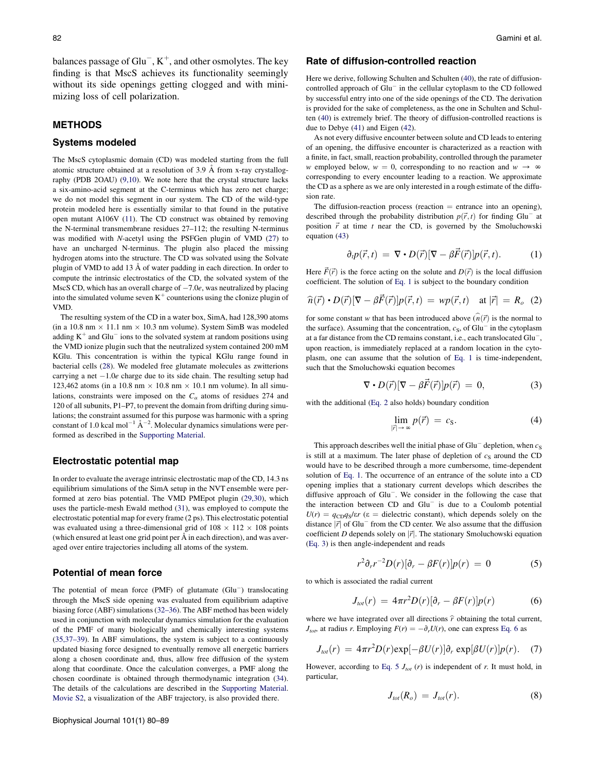<span id="page-2-0"></span>balances passage of Glu $^{-}$ , K $^{+}$ , and other osmolytes. The key finding is that MscS achieves its functionality seemingly without its side openings getting clogged and with minimizing loss of cell polarization.

### **METHODS**

### Systems modeled

The MscS cytoplasmic domain (CD) was modeled starting from the full atomic structure obtained at a resolution of  $3.9 \text{ Å}$  from x-ray crystallography (PDB 2OAU) [\(9,10](#page-9-0)). We note here that the crystal structure lacks a six-amino-acid segment at the C-terminus which has zero net charge; we do not model this segment in our system. The CD of the wild-type protein modeled here is essentially similar to that found in the putative open mutant A106V ([11\)](#page-9-0). The CD construct was obtained by removing the N-terminal transmembrane residues 27–112; the resulting N-terminus was modified with N-acetyl using the PSFGen plugin of VMD [\(27](#page-9-0)) to have an uncharged N-terminus. The plugin also placed the missing hydrogen atoms into the structure. The CD was solvated using the Solvate plugin of VMD to add 13  $\AA$  of water padding in each direction. In order to compute the intrinsic electrostatics of the CD, the solvated system of the MscS CD, which has an overall charge of  $-7.0e$ , was neutralized by placing into the simulated volume seven  $K^+$  counterions using the cIonize plugin of VMD.

The resulting system of the CD in a water box, SimA, had 128,390 atoms (in a 10.8 nm  $\times$  11.1 nm  $\times$  10.3 nm volume). System SimB was modeled adding  $K^+$  and Glu<sup>-</sup> ions to the solvated system at random positions using the VMD ionize plugin such that the neutralized system contained 200 mM KGlu. This concentration is within the typical KGlu range found in bacterial cells ([28\)](#page-9-0). We modeled free glutamate molecules as zwitterions carrying a net  $-1.0e$  charge due to its side chain. The resulting setup had 123,462 atoms (in a 10.8 nm  $\times$  10.8 nm  $\times$  10.1 nm volume). In all simulations, constraints were imposed on the  $C_{\alpha}$  atoms of residues 274 and 120 of all subunits, P1–P7, to prevent the domain from drifting during simulations; the constraint assumed for this purpose was harmonic with a spring constant of 1.0 kcal mol<sup>-1</sup>  $\AA^{-2}$ . Molecular dynamics simulations were performed as described in the [Supporting Material](#page-8-0).

#### Electrostatic potential map

In order to evaluate the average intrinsic electrostatic map of the CD, 14.3 ns equilibrium simulations of the SimA setup in the NVT ensemble were performed at zero bias potential. The VMD PMEpot plugin [\(29,30](#page-9-0)), which uses the particle-mesh Ewald method ([31\)](#page-9-0), was employed to compute the electrostatic potential map for every frame (2 ps). This electrostatic potential was evaluated using a three-dimensional grid of  $108 \times 112 \times 108$  points (which ensured at least one grid point per  $\AA$  in each direction), and was averaged over entire trajectories including all atoms of the system.

#### Potential of mean force

The potential of mean force (PMF) of glutamate  $(Glu^-)$  translocating through the MscS side opening was evaluated from equilibrium adaptive biasing force (ABF) simulations [\(32–36](#page-9-0)). The ABF method has been widely used in conjunction with molecular dynamics simulation for the evaluation of the PMF of many biologically and chemically interesting systems [\(35,37–39\)](#page-9-0). In ABF simulations, the system is subject to a continuously updated biasing force designed to eventually remove all energetic barriers along a chosen coordinate and, thus, allow free diffusion of the system along that coordinate. Once the calculation converges, a PMF along the chosen coordinate is obtained through thermodynamic integration ([34\)](#page-9-0). The details of the calculations are described in the [Supporting Material.](#page-8-0) [Movie S2,](#page-8-0) a visualization of the ABF trajectory, is also provided there.

#### Rate of diffusion-controlled reaction

Here we derive, following Schulten and Schulten [\(40](#page-9-0)), the rate of diffusioncontrolled approach of Glu<sup>-</sup> in the cellular cytoplasm to the CD followed by successful entry into one of the side openings of the CD. The derivation is provided for the sake of completeness, as the one in Schulten and Schulten [\(40](#page-9-0)) is extremely brief. The theory of diffusion-controlled reactions is due to Debye ([41\)](#page-9-0) and Eigen [\(42](#page-9-0)).

As not every diffusive encounter between solute and CD leads to entering of an opening, the diffusive encounter is characterized as a reaction with a finite, in fact, small, reaction probability, controlled through the parameter w employed below,  $w = 0$ , corresponding to no reaction and  $w \rightarrow \infty$ corresponding to every encounter leading to a reaction. We approximate the CD as a sphere as we are only interested in a rough estimate of the diffusion rate.

The diffusion-reaction process (reaction  $=$  entrance into an opening), described through the probability distribution  $p(\vec{r}, t)$  for finding Glu<sup>-</sup> at position  $\vec{r}$  at time t near the CD, is governed by the Smoluchowski equation ([43\)](#page-9-0)

$$
\partial_t p(\vec{r}, t) = \nabla \cdot D(\vec{r}) [\nabla - \beta \vec{F}(\vec{r})] p(\vec{r}, t). \tag{1}
$$

Here  $\vec{F}(\vec{r})$  is the force acting on the solute and  $D(\vec{r})$  is the local diffusion coefficient. The solution of Eq. 1 is subject to the boundary condition

$$
\widehat{n}(\vec{r}) \cdot D(\vec{r})[\nabla - \beta \vec{F}(\vec{r})]p(\vec{r}, t) = wp(\vec{r}, t) \text{ at } |\vec{r}| = R_o \quad (2)
$$

for some constant w that has been introduced above  $(\widehat{n}(\vec{r})$  is the normal to the surface). Assuming that the concentration,  $c_S$ , of Glu<sup>-</sup> in the cytoplasm at a far distance from the CD remains constant, i.e., each translocated Glu-, upon reaction, is immediately replaced at a random location in the cytoplasm, one can assume that the solution of Eq. 1 is time-independent, such that the Smoluchowski equation becomes

$$
\nabla \cdot D(\vec{r})[\nabla - \beta \vec{F}(\vec{r})]p(\vec{r}) = 0, \qquad (3)
$$

with the additional (Eq. 2 also holds) boundary condition

$$
\lim_{|\vec{r}| \to \infty} p(\vec{r}) = c_{\rm S}.
$$
 (4)

This approach describes well the initial phase of Glu<sup>-</sup> depletion, when  $c_S$ is still at a maximum. The later phase of depletion of  $c_S$  around the CD would have to be described through a more cumbersome, time-dependent solution of Eq. 1. The occurrence of an entrance of the solute into a CD opening implies that a stationary current develops which describes the diffusive approach of Glu<sup>-</sup>. We consider in the following the case that the interaction between CD and Glu<sup>-</sup> is due to a Coulomb potential  $U(r) = q_{CD}q_S/\varepsilon r$  ( $\varepsilon$  = dielectric constant), which depends solely on the distance  $|\vec{r}|$  of Glu<sup>-</sup> from the CD center. We also assume that the diffusion coefficient D depends solely on  $|\vec{r}|$ . The stationary Smoluchowski equation (Eq. 3) is then angle-independent and reads

$$
r^2 \partial_r r^{-2} D(r) [\partial_r - \beta F(r)] p(r) = 0 \tag{5}
$$

to which is associated the radial current

$$
J_{tot}(r) = 4\pi r^2 D(r)[\partial_r - \beta F(r)]p(r) \tag{6}
$$

where we have integrated over all directions  $\hat{r}$  obtaining the total current,  $J_{tot}$ , at radius r. Employing  $F(r) = -\partial_r U(r)$ , one can express Eq. 6 as

$$
J_{tot}(r) = 4\pi r^2 D(r) \exp[-\beta U(r)] \partial_r \exp[\beta U(r)] p(r). \quad (7)
$$

However, according to Eq. 5  $J_{tot}$  (r) is independent of r. It must hold, in particular,

$$
J_{tot}(R_o) = J_{tot}(r). \tag{8}
$$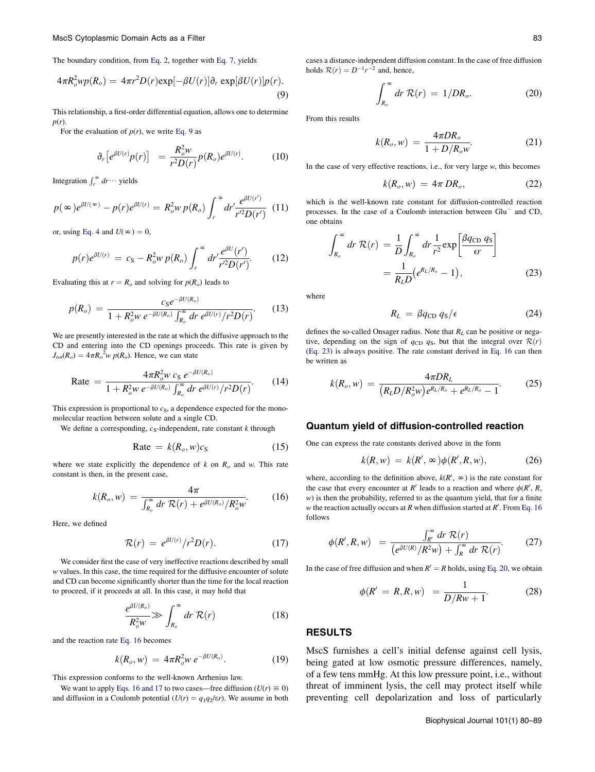The boundary condition, from Eq. 2, together with Eq. 7, yields

$$
4\pi R_o^2 w p(R_o) = 4\pi r^2 D(r) \exp[-\beta U(r)] \partial_r \exp[\beta U(r)] p(r).
$$
\n(9)

This relationship, a first-order differential equation, allows one to determine  $p(r)$ .

For the evaluation of  $p(r)$ , we write Eq. 9 as

$$
\partial_r \left[ e^{\beta U(r)} p(r) \right] = \frac{R_o^2 w}{r^2 D(r)} p(R_o) e^{\beta U(r)}.
$$
 (10)

Integration  $\int_r^{\infty} dr \cdots$  yields

$$
p(\infty)e^{\beta U(\infty)} - p(r)e^{\beta U(r)} = R_o^2 w p(R_o) \int_r^{\infty} dr' \frac{e^{\beta U(r')}}{r'^2 D(r')} \tag{11}
$$

or, using Eq. 4 and  $U(\infty) = 0$ ,

$$
p(r)e^{\beta U(r)} = c_{\rm S} - R_o^2 w p(R_o) \int_r^{\infty} dr' \frac{e^{\beta U}(r')}{r'^2 D(r')}.
$$
 (12)

Evaluating this at  $r = R_o$  and solving for  $p(R_o)$  leads to

$$
p(R_o) = \frac{c_S e^{-\beta U(R_o)}}{1 + R_o^2 w e^{-\beta U(R_o)} \int_{R_o}^{\infty} dr e^{\beta U(r)} / r^2 D(r)}.
$$
 (13)

We are presently interested in the rate at which the diffusive approach to the CD and entering into the CD openings proceeds. This rate is given by  $J_{tot}(R_o) = 4\pi R_o^2 w p(R_o)$ . Hence, we can state

Rate 
$$
= \frac{4\pi R_o^2 w c_S e^{-\beta U(R_o)}}{1 + R_o^2 w e^{-\beta U(R_o)} \int_{R_o}^{\infty} dr e^{\beta U(r)} / r^2 D(r)}.
$$
 (14)

This expression is proportional to  $c<sub>S</sub>$ , a dependence expected for the monomolecular reaction between solute and a single CD.

We define a corresponding,  $c_S$ -independent, rate constant k through

$$
Rate = k(R_o, w)c_S \qquad (15)
$$

where we state explicitly the dependence of  $k$  on  $R_o$  and w. This rate constant is then, in the present case,

$$
k(R_o, w) = \frac{4\pi}{\int_{R_o}^{\infty} dr \mathcal{R}(r) + e^{\beta U(R_o)}/R_o^2 w}.
$$
 (16)

Here, we defined

$$
\mathcal{R}(r) = e^{\beta U(r)} / r^2 D(r). \tag{17}
$$

We consider first the case of very ineffective reactions described by small w values. In this case, the time required for the diffusive encounter of solute and CD can become significantly shorter than the time for the local reaction to proceed, if it proceeds at all. In this case, it may hold that

$$
\frac{e^{\beta U(R_o)}}{R_o^2 w} \gg \int_{R_o}^{\infty} dr \mathcal{R}(r)
$$
 (18)

and the reaction rate Eq. 16 becomes

$$
k(R_o, w) = 4\pi R_o^2 w e^{-\beta U(R_o)}.
$$
 (19)

This expression conforms to the well-known Arrhenius law.

We want to apply Eqs. 16 and 17 to two cases—free diffusion ( $U(r) \equiv 0$ ) and diffusion in a Coulomb potential  $(U(r) = q_1q_2/\epsilon r)$ . We assume in both cases a distance-independent diffusion constant. In the case of free diffusion holds  $\mathcal{R}(r) = D^{-1}r^{-2}$  and, hence,

$$
\int_{R_o}^{\infty} dr \mathcal{R}(r) = 1/DR_o.
$$
 (20)

From this results

$$
k(R_o, w) = \frac{4\pi D R_o}{1 + D/R_o w}.
$$
\n<sup>(21)</sup>

In the case of very effective reactions, i.e., for very large  $w$ , this becomes

$$
k(R_o, w) = 4\pi D R_o, \qquad (22)
$$

which is the well-known rate constant for diffusion-controlled reaction processes. In the case of a Coulomb interaction between Glu<sup>-</sup> and CD, one obtains

$$
\int_{R_o}^{\infty} dr \mathcal{R}(r) = \frac{1}{D} \int_{R_o}^{\infty} dr \frac{1}{r^2} \exp\left[\frac{\beta q_{CD} q_S}{\epsilon r}\right]
$$

$$
= \frac{1}{R_L D} (e^{R_L/R_o} - 1), \qquad (23)
$$

where

$$
R_L = \beta q_{\rm CD} q_{\rm S}/\epsilon \tag{24}
$$

defines the so-called Onsager radius. Note that  $R_L$  can be positive or negative, depending on the sign of  $q_{CD}$   $q_S$ , but that the integral over  $\mathcal{R}(r)$ (Eq. 23) is always positive. The rate constant derived in Eq. 16 can then be written as

$$
k(R_o, w) = \frac{4\pi D R_L}{(R_L D/R_o^2 w) e^{R_L/R_o} + e^{R_L/R_o} - 1}.
$$
 (25)

#### Quantum yield of diffusion-controlled reaction

One can express the rate constants derived above in the form

$$
k(R, w) = k(R', \infty) \phi(R', R, w), \qquad (26)
$$

where, according to the definition above,  $k(R', \infty)$  is the rate constant for the case that every encounter at R' leads to a reaction and where  $\phi(R', R, \theta)$  $w$ ) is then the probability, referred to as the quantum yield, that for a finite w the reaction actually occurs at R when diffusion started at  $R'$ . From Eq. 16 follows

$$
\phi(R',R,w) = \frac{\int_{R'}^{\infty} dr \mathcal{R}(r)}{\left(e^{\beta U(R)}/R^2w\right) + \int_{R}^{\infty} dr \mathcal{R}(r)}.
$$
 (27)

In the case of free diffusion and when  $R' = R$  holds, using Eq. 20, we obtain

$$
\phi(R' = R, R, w) = \frac{1}{D/Rw + 1}.
$$
 (28)

### RESULTS

MscS furnishes a cell's initial defense against cell lysis, being gated at low osmotic pressure differences, namely, of a few tens mmHg. At this low pressure point, i.e., without threat of imminent lysis, the cell may protect itself while preventing cell depolarization and loss of particularly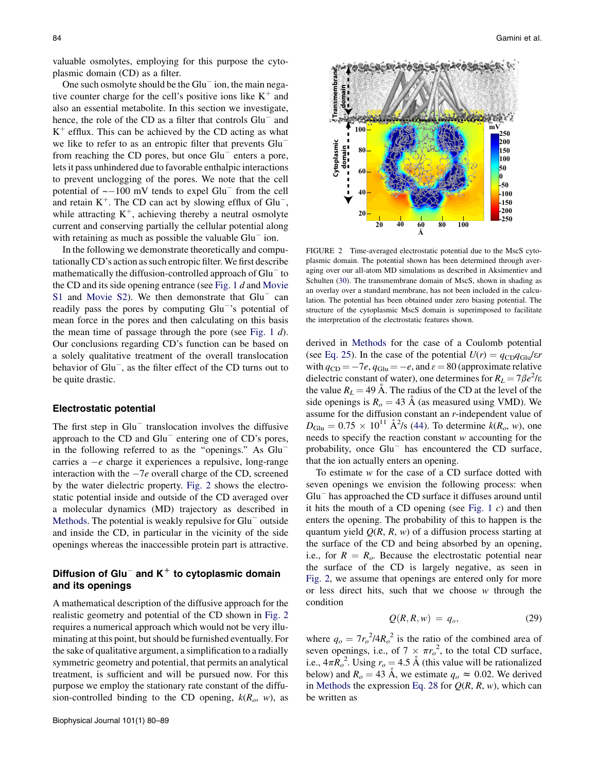<span id="page-4-0"></span>valuable osmolytes, employing for this purpose the cytoplasmic domain (CD) as a filter.

One such osmolyte should be the  $Glu^-$  ion, the main negative counter charge for the cell's positive ions like  $K^+$  and also an essential metabolite. In this section we investigate, hence, the role of the CD as a filter that controls Glu<sup>-</sup> and  $K^+$  efflux. This can be achieved by the CD acting as what we like to refer to as an entropic filter that prevents Glu<sup>-</sup> from reaching the CD pores, but once Glu<sup>-</sup> enters a pore, lets it pass unhindered due to favorable enthalpic interactions to prevent unclogging of the pores. We note that the cell potential of  $\sim$  -100 mV tends to expel Glu<sup>-</sup> from the cell and retain  $K^+$ . The CD can act by slowing efflux of Glu<sup>-</sup>, while attracting  $K^+$ , achieving thereby a neutral osmolyte current and conserving partially the cellular potential along with retaining as much as possible the valuable  $Gu^-$  ion.

In the following we demonstrate theoretically and computationally CD's action as such entropic filter.We first describe mathematically the diffusion-controlled approach of Glu<sup>-</sup> to the CD and its side opening entrance (see [Fig. 1](#page-1-0) d and [Movie](#page-8-0) [S1](#page-8-0) and [Movie S2](#page-8-0)). We then demonstrate that  $Glu^-$  can readily pass the pores by computing Glu<sup>-</sup>'s potential of mean force in the pores and then calculating on this basis the mean time of passage through the pore (see [Fig. 1](#page-1-0) d). Our conclusions regarding CD's function can be based on a solely qualitative treatment of the overall translocation behavior of Glu<sup>-</sup>, as the filter effect of the CD turns out to be quite drastic.

#### Electrostatic potential

The first step in  $Glu^-$  translocation involves the diffusive approach to the  $CD$  and  $Glu^-$  entering one of  $CD$ 's pores, in the following referred to as the "openings." As Glu<sup>-</sup> carries a -e charge it experiences a repulsive, long-range interaction with the  $-7e$  overall charge of the CD, screened by the water dielectric property. Fig. 2 shows the electrostatic potential inside and outside of the CD averaged over a molecular dynamics (MD) trajectory as described in [Methods](#page-2-0). The potential is weakly repulsive for  $Glu$ <sup>-</sup> outside and inside the CD, in particular in the vicinity of the side openings whereas the inaccessible protein part is attractive.

# Diffusion of Glu $^-$  and K<sup>+</sup> to cytoplasmic domain and its openings

A mathematical description of the diffusive approach for the realistic geometry and potential of the CD shown in Fig. 2 requires a numerical approach which would not be very illuminating at this point, but should be furnished eventually. For the sake of qualitative argument, a simplification to a radially symmetric geometry and potential, that permits an analytical treatment, is sufficient and will be pursued now. For this purpose we employ the stationary rate constant of the diffusion-controlled binding to the CD opening,  $k(R_o, w)$ , as



FIGURE 2 Time-averaged electrostatic potential due to the MscS cytoplasmic domain. The potential shown has been determined through averaging over our all-atom MD simulations as described in Aksimentiev and Schulten ([30\)](#page-9-0). The transmembrane domain of MscS, shown in shading as an overlay over a standard membrane, has not been included in the calculation. The potential has been obtained under zero biasing potential. The structure of the cytoplasmic MscS domain is superimposed to facilitate the interpretation of the electrostatic features shown.

derived in [Methods](#page-2-0) for the case of a Coulomb potential (see Eq. 25). In the case of the potential  $U(r) = q_{CD}q_{Glu}/\varepsilon r$ with  $q_{\text{CD}} = -7e$ ,  $q_{\text{Glu}} = -e$ , and  $\varepsilon = 80$  (approximate relative dielectric constant of water), one determines for  $R_L = 7\beta e^2/\epsilon$ the value  $R_L = 49$  Å. The radius of the CD at the level of the side openings is  $R<sub>o</sub> = 43$  Å (as measured using VMD). We assume for the diffusion constant an r-independent value of  $D_{\text{Glu}} = 0.75 \times 10^{11} \text{ Å}^2/\text{s}$  ([44\)](#page-9-0). To determine  $k(R_o, w)$ , one needs to specify the reaction constant w accounting for the probability, once  $Glu^-$  has encountered the CD surface, that the ion actually enters an opening.

To estimate w for the case of a CD surface dotted with seven openings we envision the following process: when Glu- has approached the CD surface it diffuses around until it hits the mouth of a CD opening (see [Fig. 1](#page-1-0)  $c$ ) and then enters the opening. The probability of this to happen is the quantum yield  $Q(R, R, w)$  of a diffusion process starting at the surface of the CD and being absorbed by an opening, i.e., for  $R = R_o$ . Because the electrostatic potential near the surface of the CD is largely negative, as seen in Fig. 2, we assume that openings are entered only for more or less direct hits, such that we choose  $w$  through the condition **Example 2** Ti<br>
Be written as  $\frac{1}{2}$  and  $\frac{1}{2}$  and  $\frac{1}{2}$  and  $\frac{1}{2}$  and  $\frac{1}{2}$  and  $\frac{1}{2}$  and  $\frac{1}{2}$  and  $\frac{1}{2}$  and  $\frac{1}{2}$  and  $\frac{1}{2}$  and  $\frac{1}{2}$  and  $\frac{1}{2}$  and  $\frac{1}{2}$  and  $\frac{1}{2}$ 

$$
Q(R, R, w) = q_o,
$$
 (29)

where  $q_o = 7r_o^2/4R_o^2$  is the ratio of the combined area of seven openings, i.e., of  $7 \times \pi r_o^2$ , to the total CD surface, i.e.,  $4\pi R_o^2$ . Using  $r_o = 4.5$  Å (this value will be rationalized below) and  $R_o = 43$  Å, we estimate  $q_o \approx 0.02$ . We derived in [Methods](#page-2-0) the expression Eq. 28 for  $Q(R, R, w)$ , which can be written as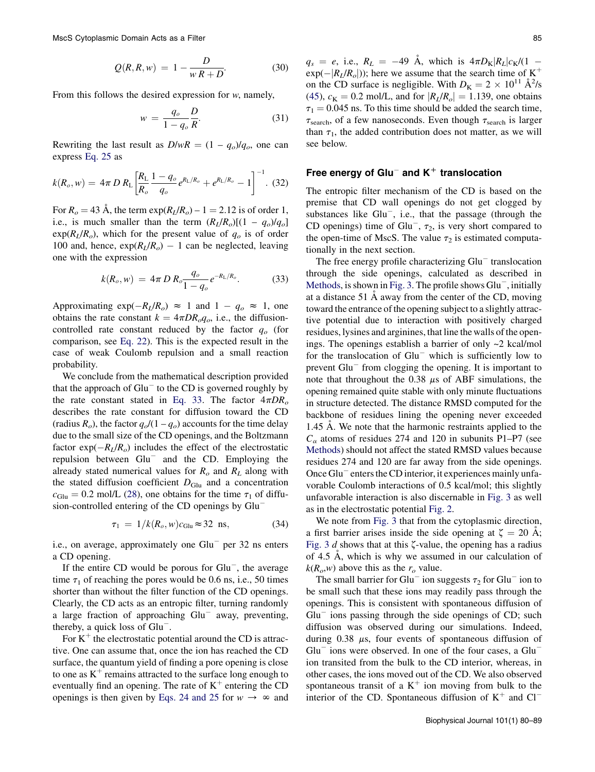$$
Q(R, R, w) = 1 - \frac{D}{wR + D}.
$$
 (30)

From this follows the desired expression for  $w$ , namely,

$$
w = \frac{q_o}{1 - q_o} \frac{D}{R}.
$$
\n(31)

Rewriting the last result as  $D/wR = (1 - q_o)/q_o$ , one can express Eq. 25 as

$$
k(R_o, w) = 4\pi D R_{\rm L} \left[ \frac{R_{\rm L}}{R_o} \frac{1 - q_o}{q_o} e^{R_{\rm L}/R_o} + e^{R_{\rm L}/R_o} - 1 \right]^{-1}.
$$
 (32)

For  $R_o = 43$  Å, the term  $exp(R_l/R_o) - 1 = 2.12$  is of order 1, i.e., is much smaller than the term  $(R_L/R_o)[(1 - q_o)/q_o]$  $exp(R_L/R_o)$ , which for the present value of  $q_o$  is of order 100 and, hence,  $exp(R_L/R_o) - 1$  can be neglected, leaving one with the expression

$$
k(R_o, w) = 4\pi D R_o \frac{q_o}{1 - q_o} e^{-R_L/R_o}.
$$
 (33)

Approximating  $\exp(-R_L/R_o) \approx 1$  and  $1 - q_o \approx 1$ , one obtains the rate constant  $k = 4\pi D R_o q_o$ , i.e., the diffusioncontrolled rate constant reduced by the factor  $q_o$  (for comparison, see Eq. 22). This is the expected result in the case of weak Coulomb repulsion and a small reaction probability.

We conclude from the mathematical description provided that the approach of  $Glu^-$  to the CD is governed roughly by the rate constant stated in Eq. 33. The factor  $4\pi D R_o$ describes the rate constant for diffusion toward the CD (radius  $R_o$ ), the factor  $q_o/(1 - q_o)$  accounts for the time delay due to the small size of the CD openings, and the Boltzmann factor  $\exp(-R_L/R_o)$  includes the effect of the electrostatic repulsion between  $Glu^-$  and the CD. Employing the already stated numerical values for  $R_o$  and  $R_L$  along with the stated diffusion coefficient  $D_{\text{Glu}}$  and a concentration  $c_{\text{Glu}} = 0.2$  mol/L ([28\)](#page-9-0), one obtains for the time  $\tau_1$  of diffusion-controlled entering of the CD openings by  $Glu^-$ 

$$
\tau_1 = 1/k(R_o, w)c_{\text{Glu}} \approx 32 \text{ ns},\tag{34}
$$

i.e., on average, approximately one Glu<sup>-</sup> per 32 ns enters a CD opening.

If the entire CD would be porous for  $Glu^-$ , the average time  $\tau_1$  of reaching the pores would be 0.6 ns, i.e., 50 times shorter than without the filter function of the CD openings. Clearly, the CD acts as an entropic filter, turning randomly a large fraction of approaching Glu<sup>-</sup> away, preventing, thereby, a quick loss of Glu-.

For  $K^+$  the electrostatic potential around the CD is attractive. One can assume that, once the ion has reached the CD surface, the quantum yield of finding a pore opening is close to one as  $K^+$  remains attracted to the surface long enough to eventually find an opening. The rate of  $K^+$  entering the CD openings is then given by Eqs. 24 and 25 for  $w \to \infty$  and

 $q_s = e$ , i.e.,  $R_L = -49$  Å, which is  $4\pi D_K|R_L|c_K/(1$  $exp(-|R_L/R_o|))$ ; here we assume that the search time of  $K^+$ on the CD surface is negligible. With  $D_K = 2 \times 10^{11} \text{ Å}^2/\text{s}$ ([45\)](#page-9-0),  $c_K = 0.2$  mol/L, and for  $|R_L/R_o| = 1.139$ , one obtains  $\tau_1 = 0.045$  ns. To this time should be added the search time,  $\tau_{\text{search}}$ , of a few nanoseconds. Even though  $\tau_{\text{search}}$  is larger than  $\tau_1$ , the added contribution does not matter, as we will see below.

# Free energy of Glu $^-$  and K<sup>+</sup> translocation

The entropic filter mechanism of the CD is based on the premise that CD wall openings do not get clogged by substances like Glu<sup>-</sup>, i.e., that the passage (through the CD openings) time of Glu<sup>-</sup>,  $\tau_2$ , is very short compared to the open-time of MscS. The value  $\tau_2$  is estimated computationally in the next section.

The free energy profile characterizing Glu<sup>-</sup> translocation through the side openings, calculated as described in [Methods](#page-2-0), is shown in [Fig. 3.](#page-6-0) The profile shows Glu<sup>-</sup>, initially at a distance  $51 \text{ Å}$  away from the center of the CD, moving toward the entrance of the opening subject to a slightly attractive potential due to interaction with positively charged residues, lysines and arginines, that line the walls of the openings. The openings establish a barrier of only ~2 kcal/mol for the translocation of Glu<sup>-</sup> which is sufficiently low to prevent Glu<sup>-</sup> from clogging the opening. It is important to note that throughout the 0.38  $\mu$ s of ABF simulations, the opening remained quite stable with only minute fluctuations in structure detected. The distance RMSD computed for the backbone of residues lining the opening never exceeded 1.45 A. We note that the harmonic restraints applied to the  $C_{\alpha}$  atoms of residues 274 and 120 in subunits P1–P7 (see [Methods](#page-2-0)) should not affect the stated RMSD values because residues 274 and 120 are far away from the side openings. Once Glu<sup>-</sup> enters the CD interior, it experiences mainly unfavorable Coulomb interactions of 0.5 kcal/mol; this slightly unfavorable interaction is also discernable in [Fig. 3](#page-6-0) as well as in the electrostatic potential [Fig. 2](#page-4-0).

We note from [Fig. 3](#page-6-0) that from the cytoplasmic direction, a first barrier arises inside the side opening at  $\zeta = 20$  A; [Fig. 3](#page-6-0)  $d$  shows that at this  $\zeta$ -value, the opening has a radius of 4.5  $\AA$ , which is why we assumed in our calculation of  $k(R_o, w)$  above this as the  $r_o$  value.

The small barrier for Glu<sup>-</sup> ion suggests  $\tau_2$  for Glu<sup>-</sup> ion to be small such that these ions may readily pass through the openings. This is consistent with spontaneous diffusion of Glu<sup>-</sup> ions passing through the side openings of CD; such diffusion was observed during our simulations. Indeed, during  $0.38$   $\mu$ s, four events of spontaneous diffusion of  $Glu^-$  ions were observed. In one of the four cases, a  $Glu^$ ion transited from the bulk to the CD interior, whereas, in other cases, the ions moved out of the CD. We also observed spontaneous transit of a  $K^+$  ion moving from bulk to the interior of the CD. Spontaneous diffusion of  $K^+$  and  $Cl^-$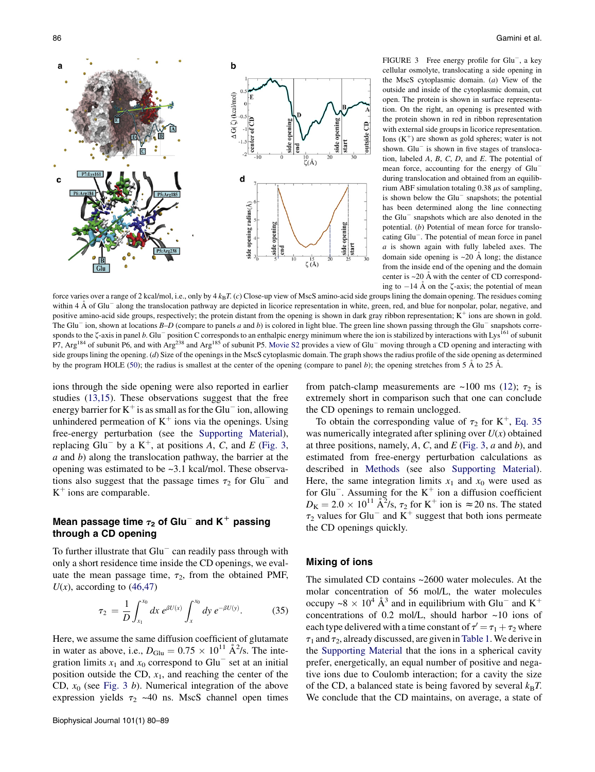<span id="page-6-0"></span>

FIGURE 3 Free energy profile for Glu<sup>-</sup>, a key cellular osmolyte, translocating a side opening in the MscS cytoplasmic domain. (a) View of the outside and inside of the cytoplasmic domain, cut open. The protein is shown in surface representation. On the right, an opening is presented with the protein shown in red in ribbon representation with external side groups in licorice representation. Ions  $(K^+)$  are shown as gold spheres; water is not shown. Glu<sup>-</sup> is shown in five stages of translocation, labeled  $A$ ,  $B$ ,  $C$ ,  $D$ , and  $E$ . The potential of mean force, accounting for the energy of Glu<sup>-</sup> during translocation and obtained from an equilibrium ABF simulation totaling  $0.38 \mu s$  of sampling, is shown below the Glu<sup>-</sup> snapshots; the potential has been determined along the line connecting the Glu<sup>-</sup> snapshots which are also denoted in the potential. (b) Potential of mean force for translocating Glu<sup>-</sup>. The potential of mean force in panel  $a$  is shown again with fully labeled axes. The domain side opening is  $\sim$ 20 Å long; the distance from the inside end of the opening and the domain center is  $\approx$  20 Å with the center of CD corresponding to  $-14 \text{ Å}$  on the  $\zeta$ -axis; the potential of mean

force varies over a range of 2 kcal/mol, i.e., only by  $4 k_B T$ . (c) Close-up view of MscS amino-acid side groups lining the domain opening. The residues coming within  $4 \text{ Å}$  of Glu<sup>-</sup> along the translocation pathway are depicted in licorice representation in white, green, red, and blue for nonpolar, polar, negative, and positive amino-acid side groups, respectively; the protein distant from the opening is shown in dark gray ribbon representation;  $K^+$  ions are shown in gold. The Glu<sup>-</sup> ion, shown at locations B-D (compare to panels a and b) is colored in light blue. The green line shown passing through the Glu<sup>-</sup> snapshots corresponds to the  $\zeta$ -axis in panel b. Glu<sup>-</sup> position C corresponds to an enthalpic energy minimum where the ion is stabilized by interactions with Lys<sup>161</sup> of subunit P7, Arg<sup>184</sup> of subunit P6, and with Arg<sup>238</sup> and Arg<sup>185</sup> of subunit P5. [Movie S2](#page-8-0) provides a view of Glu<sup>-</sup> moving through a CD opening and interacting with side groups lining the opening. (d) Size of the openings in the MscS cytoplasmic domain. The graph shows the radius profile of the side opening as determined by the program HOLE ([50](#page-9-0)); the radius is smallest at the center of the opening (compare to panel b); the opening stretches from 5  $\AA$  to 25  $\AA$ .

ions through the side opening were also reported in earlier studies [\(13,15\)](#page-9-0). These observations suggest that the free energy barrier for  $K^+$  is as small as for the Glu $^-$  ion, allowing unhindered permeation of  $K^+$  ions via the openings. Using free-energy perturbation (see the [Supporting Material\)](#page-8-0), replacing Glu<sup>-</sup> by a K<sup>+</sup>, at positions A, C, and E (Fig. 3,  $a$  and  $b$ ) along the translocation pathway, the barrier at the opening was estimated to be ~3.1 kcal/mol. These observations also suggest that the passage times  $\tau_2$  for Glu<sup>-</sup> and  $K^+$  ions are comparable.

# Mean passage time  $\tau_2$  of Glu $^-$  and K $^+$  passing through a CD opening

To further illustrate that Glu<sup>-</sup> can readily pass through with only a short residence time inside the CD openings, we evaluate the mean passage time,  $\tau_2$ , from the obtained PMF,  $U(x)$ , according to  $(46, 47)$ 

$$
\tau_2 = \frac{1}{D} \int_{x_1}^{x_0} dx \, e^{\beta U(x)} \int_{x}^{x_0} dy \, e^{-\beta U(y)}.
$$
 (35)

Here, we assume the same diffusion coefficient of glutamate in water as above, i.e.,  $D_{\text{Glu}} = 0.75 \times 10^{11} \text{ Å}^2/\text{s}$ . The integration limits  $x_1$  and  $x_0$  correspond to Glu<sup>-</sup> set at an initial position outside the CD,  $x_1$ , and reaching the center of the CD,  $x_0$  (see Fig. 3 b). Numerical integration of the above expression yields  $\tau_2 \sim 40$  ns. MscS channel open times from patch-clamp measurements are  $\sim$ 100 ms [\(12](#page-9-0));  $\tau_2$  is extremely short in comparison such that one can conclude the CD openings to remain unclogged.

To obtain the corresponding value of  $\tau_2$  for K<sup>+</sup>, Eq. 35 was numerically integrated after splining over  $U(x)$  obtained at three positions, namely,  $A$ ,  $C$ , and  $E$  (Fig. 3,  $a$  and  $b$ ), and estimated from free-energy perturbation calculations as described in [Methods](#page-2-0) (see also [Supporting Material\)](#page-8-0). Here, the same integration limits  $x_1$  and  $x_0$  were used as for Glu<sup>-</sup>. Assuming for the  $K^+$  ion a diffusion coefficient  $D_{\rm K} = 2.0 \times 10^{11} \text{ Å}^2/\text{s}, \tau_2 \text{ for K}^+ \text{ ion is } \approx 20 \text{ ns}.$  The stated  $\tau_2$  values for Glu<sup>-</sup> and K<sup>+</sup> suggest that both ions permeate the CD openings quickly.

#### Mixing of ions

The simulated CD contains ~2600 water molecules. At the molar concentration of 56 mol/L, the water molecules occupy  $\sim 8 \times 10^4$   $\AA^3$  and in equilibrium with Glu<sup>-</sup> and K<sup>+</sup> concentrations of 0.2 mol/L, should harbor  $\sim$ 10 ions of each type delivered with a time constant of  $\tau' = \tau_1 + \tau_2$  where  $\tau_1$  and  $\tau_2$ , already discussed, are given in [Table 1.](#page-7-0) We derive in the [Supporting Material](#page-8-0) that the ions in a spherical cavity prefer, energetically, an equal number of positive and negative ions due to Coulomb interaction; for a cavity the size of the CD, a balanced state is being favored by several  $k_B T$ . We conclude that the CD maintains, on average, a state of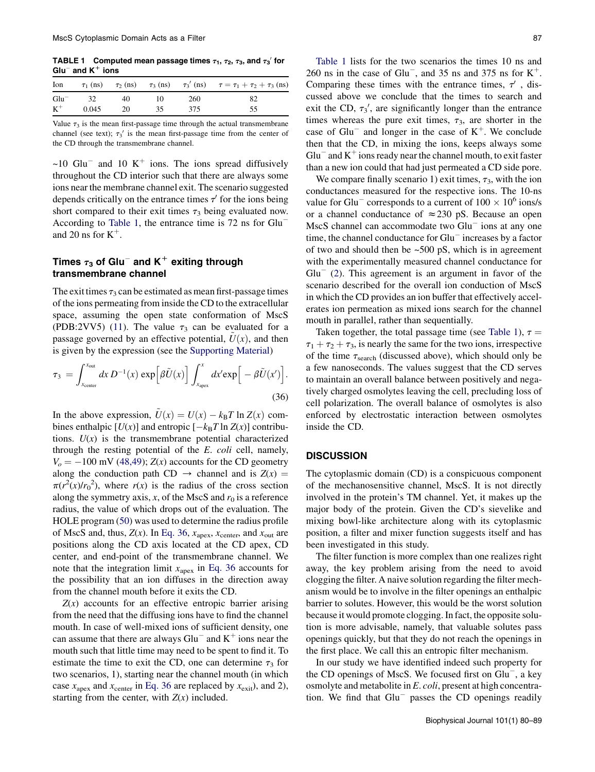<span id="page-7-0"></span>TABLE 1  $\;$  Computed mean passage times  $\tau_1,\,\tau_2,\,\tau_3,$  and  $\tau_3'$  for Glu $^-$  and K $^+$  ions

|         |       |    |      |     | Ion $\tau_1$ (ns) $\tau_2$ (ns) $\tau_3$ (ns) $\tau_3'$ (ns) $\tau = \tau_1 + \tau_2 + \tau_3$ (ns) |
|---------|-------|----|------|-----|-----------------------------------------------------------------------------------------------------|
| $Glu^-$ | 32    | 40 | 10   | 260 | 82                                                                                                  |
| $K^+$   | 0.045 | 20 | - 35 | 375 | 55                                                                                                  |

Value  $\tau_3$  is the mean first-passage time through the actual transmembrane channel (see text);  $\tau_3'$  is the mean first-passage time from the center of the CD through the transmembrane channel.

 $\sim$ 10 Glu<sup>-</sup> and 10 K<sup>+</sup> ions. The ions spread diffusively throughout the CD interior such that there are always some ions near the membrane channel exit. The scenario suggested depends critically on the entrance times  $\tau'$  for the ions being short compared to their exit times  $\tau_3$  being evaluated now. According to Table 1, the entrance time is 72 ns for Glu<sup>-</sup> and 20 ns for  $K^+$ .

# Times  $\tau_3$  of Glu $^-$  and K $^+$  exiting through transmembrane channel

The exit times  $\tau_3$  can be estimated as mean first-passage times of the ions permeating from inside the CD to the extracellular space, assuming the open state conformation of MscS (PDB:2VV5) ([11\)](#page-9-0). The value  $\tau_3$  can be evaluated for a passage governed by an effective potential,  $U(x)$ , and then is given by the expression (see the [Supporting Material\)](#page-8-0)

$$
\tau_3 = \int_{x_{\text{center}}}^{x_{\text{out}}} dx \, D^{-1}(x) \, \exp\left[\beta \tilde{U}(x)\right] \int_{x_{\text{apex}}}^{x} dx' \exp\left[-\beta \tilde{U}(x')\right]. \tag{36}
$$

In the above expression,  $\tilde{U}(x) = U(x) - k_B T \ln Z(x)$  combines enthalpic  $[U(x)]$  and entropic  $[-k_BT \ln Z(x)]$  contributions.  $U(x)$  is the transmembrane potential characterized through the resting potential of the E. coli cell, namely,  $V_o = -100$  mV [\(48,49\)](#page-9-0);  $Z(x)$  accounts for the CD geometry along the conduction path CD  $\rightarrow$  channel and is  $Z(x) =$  $\pi(r^2(x)/r_0^2)$ , where  $r(x)$  is the radius of the cross section along the symmetry axis, x, of the MscS and  $r_0$  is a reference radius, the value of which drops out of the evaluation. The HOLE program [\(50](#page-9-0)) was used to determine the radius profile of MscS and, thus,  $Z(x)$ . In Eq. 36,  $x_{\text{apex}}$ ,  $x_{\text{center}}$ , and  $x_{\text{out}}$  are positions along the CD axis located at the CD apex, CD center, and end-point of the transmembrane channel. We note that the integration limit  $x_{\text{apex}}$  in Eq. 36 accounts for the possibility that an ion diffuses in the direction away from the channel mouth before it exits the CD.

 $Z(x)$  accounts for an effective entropic barrier arising from the need that the diffusing ions have to find the channel mouth. In case of well-mixed ions of sufficient density, one can assume that there are always  $Glu^-$  and  $K^+$  ions near the mouth such that little time may need to be spent to find it. To estimate the time to exit the CD, one can determine  $\tau_3$  for two scenarios, 1), starting near the channel mouth (in which case  $x_{\text{apex}}$  and  $x_{\text{center}}$  in Eq. 36 are replaced by  $x_{\text{exit}}$ , and 2), starting from the center, with  $Z(x)$  included.

Table 1 lists for the two scenarios the times 10 ns and 260 ns in the case of Glu<sup>-</sup>, and 35 ns and 375 ns for  $K^+$ . Comparing these times with the entrance times,  $\tau'$ , discussed above we conclude that the times to search and exit the CD,  $\tau_3'$ , are significantly longer than the entrance times whereas the pure exit times,  $\tau_3$ , are shorter in the case of Glu<sup>-</sup> and longer in the case of  $K^+$ . We conclude then that the CD, in mixing the ions, keeps always some Glu $^{-}$  and  $K^{+}$  ions ready near the channel mouth, to exit faster than a new ion could that had just permeated a CD side pore.

We compare finally scenario 1) exit times,  $\tau_3$ , with the ion conductances measured for the respective ions. The 10-ns value for Glu<sup>-</sup> corresponds to a current of  $100 \times 10^6$  ions/s or a channel conductance of  $\approx$  230 pS. Because an open MscS channel can accommodate two Glu<sup>-</sup> ions at any one time, the channel conductance for Glu<sup>-</sup> increases by a factor of two and should then be  $\sim$  500 pS, which is in agreement with the experimentally measured channel conductance for  $Glu^{-}$  ([2\)](#page-8-0). This agreement is an argument in favor of the scenario described for the overall ion conduction of MscS in which the CD provides an ion buffer that effectively accelerates ion permeation as mixed ions search for the channel mouth in parallel, rather than sequentially.

Taken together, the total passage time (see Table 1),  $\tau =$  $\tau_1 + \tau_2 + \tau_3$ , is nearly the same for the two ions, irrespective of the time  $\tau_{\text{search}}$  (discussed above), which should only be a few nanoseconds. The values suggest that the CD serves to maintain an overall balance between positively and negatively charged osmolytes leaving the cell, precluding loss of cell polarization. The overall balance of osmolytes is also enforced by electrostatic interaction between osmolytes inside the CD.

# **DISCUSSION**

The cytoplasmic domain (CD) is a conspicuous component of the mechanosensitive channel, MscS. It is not directly involved in the protein's TM channel. Yet, it makes up the major body of the protein. Given the CD's sievelike and mixing bowl-like architecture along with its cytoplasmic position, a filter and mixer function suggests itself and has been investigated in this study.

The filter function is more complex than one realizes right away, the key problem arising from the need to avoid clogging the filter. A naive solution regarding the filter mechanism would be to involve in the filter openings an enthalpic barrier to solutes. However, this would be the worst solution because it would promote clogging. In fact, the opposite solution is more advisable, namely, that valuable solutes pass openings quickly, but that they do not reach the openings in the first place. We call this an entropic filter mechanism.

In our study we have identified indeed such property for the CD openings of MscS. We focused first on Glu<sup>-</sup>, a key osmolyte and metabolite in E. coli, present at high concentration. We find that Glu<sup>-</sup> passes the CD openings readily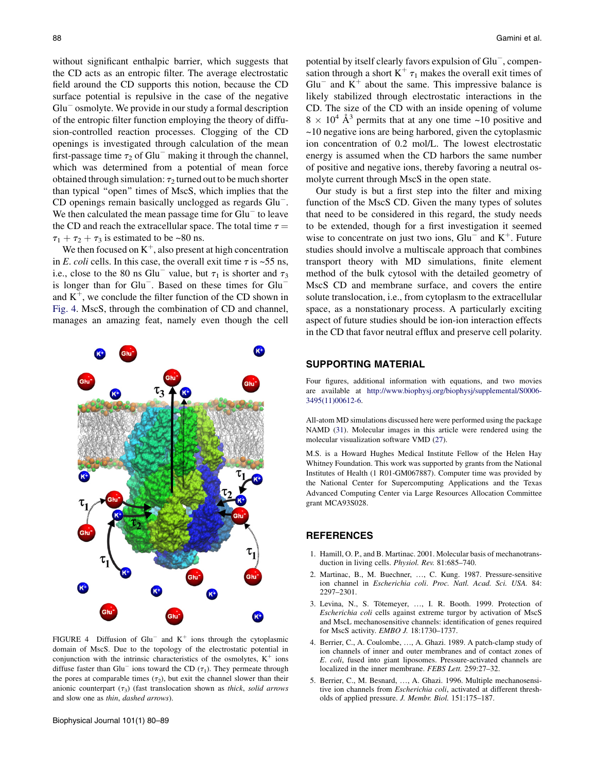<span id="page-8-0"></span>without significant enthalpic barrier, which suggests that the CD acts as an entropic filter. The average electrostatic field around the CD supports this notion, because the CD surface potential is repulsive in the case of the negative Glu<sup>-</sup> osmolyte. We provide in our study a formal description of the entropic filter function employing the theory of diffusion-controlled reaction processes. Clogging of the CD openings is investigated through calculation of the mean first-passage time  $\tau_2$  of Glu<sup>-</sup> making it through the channel, which was determined from a potential of mean force obtained through simulation:  $\tau_2$  turned out to be much shorter than typical ''open'' times of MscS, which implies that the CD openings remain basically unclogged as regards Glu-. We then calculated the mean passage time for  $Glu<sup>-</sup>$  to leave the CD and reach the extracellular space. The total time  $\tau =$  $\tau_1 + \tau_2 + \tau_3$  is estimated to be ~80 ns.

We then focused on  $K^+$ , also present at high concentration in E. coli cells. In this case, the overall exit time  $\tau$  is ~55 ns, i.e., close to the 80 ns Glu<sup>-</sup> value, but  $\tau_1$  is shorter and  $\tau_3$ is longer than for Glu<sup>-</sup>. Based on these times for Glu<sup>-</sup> and  $K^+$ , we conclude the filter function of the CD shown in Fig. 4. MscS, through the combination of CD and channel, manages an amazing feat, namely even though the cell



FIGURE 4 Diffusion of Glu<sup>-</sup> and  $K^+$  ions through the cytoplasmic domain of MscS. Due to the topology of the electrostatic potential in conjunction with the intrinsic characteristics of the osmolytes,  $K^+$  ions diffuse faster than Glu<sup>-</sup> ions toward the CD  $(\tau_1)$ . They permeate through the pores at comparable times  $(\tau_2)$ , but exit the channel slower than their anionic counterpart  $(\tau_3)$  (fast translocation shown as thick, solid arrows and slow one as thin, dashed arrows).

potential by itself clearly favors expulsion of Glu<sup>-</sup>, compensation through a short  $K^+$   $\tau_1$  makes the overall exit times of  $\text{Glu}^-$  and  $\text{K}^+$  about the same. This impressive balance is likely stabilized through electrostatic interactions in the CD. The size of the CD with an inside opening of volume  $8 \times 10^4$  Å<sup>3</sup> permits that at any one time ~10 positive and ~10 negative ions are being harbored, given the cytoplasmic ion concentration of 0.2 mol/L. The lowest electrostatic energy is assumed when the CD harbors the same number of positive and negative ions, thereby favoring a neutral osmolyte current through MscS in the open state.

Our study is but a first step into the filter and mixing function of the MscS CD. Given the many types of solutes that need to be considered in this regard, the study needs to be extended, though for a first investigation it seemed wise to concentrate on just two ions,  $Glu^-$  and  $K^+$ . Future studies should involve a multiscale approach that combines transport theory with MD simulations, finite element method of the bulk cytosol with the detailed geometry of MscS CD and membrane surface, and covers the entire solute translocation, i.e., from cytoplasm to the extracellular space, as a nonstationary process. A particularly exciting aspect of future studies should be ion-ion interaction effects in the CD that favor neutral efflux and preserve cell polarity.

# SUPPORTING MATERIAL

Four figures, additional information with equations, and two movies are available at [http://www.biophysj.org/biophysj/supplemental/S0006-](http://www.biophysj.org/biophysj/supplemental/S0006-3495(11)00612-6) [3495\(11\)00612-6](http://www.biophysj.org/biophysj/supplemental/S0006-3495(11)00612-6).

All-atom MD simulations discussed here were performed using the package NAMD ([31\)](#page-9-0). Molecular images in this article were rendered using the molecular visualization software VMD [\(27](#page-9-0)).

M.S. is a Howard Hughes Medical Institute Fellow of the Helen Hay Whitney Foundation. This work was supported by grants from the National Institutes of Health (1 R01-GM067887). Computer time was provided by the National Center for Supercomputing Applications and the Texas Advanced Computing Center via Large Resources Allocation Committee grant MCA93S028.

#### **REFERENCES**

- 1. Hamill, O. P., and B. Martinac. 2001. Molecular basis of mechanotransduction in living cells. Physiol. Rev. 81:685–740.
- 2. Martinac, B., M. Buechner, ..., C. Kung. 1987. Pressure-sensitive ion channel in Escherichia coli. Proc. Natl. Acad. Sci. USA. 84: 2297–2301.
- 3. Levina, N., S. Tötemeyer, ..., I. R. Booth. 1999. Protection of Escherichia coli cells against extreme turgor by activation of MscS and MscL mechanosensitive channels: identification of genes required for MscS activity. EMBO J. 18:1730–1737.
- 4. Berrier, C., A. Coulombe, ..., A. Ghazi. 1989. A patch-clamp study of ion channels of inner and outer membranes and of contact zones of E. coli, fused into giant liposomes. Pressure-activated channels are localized in the inner membrane. FEBS Lett. 259:27–32.
- 5. Berrier, C., M. Besnard, ..., A. Ghazi. 1996. Multiple mechanosensitive ion channels from Escherichia coli, activated at different thresholds of applied pressure. J. Membr. Biol. 151:175–187.